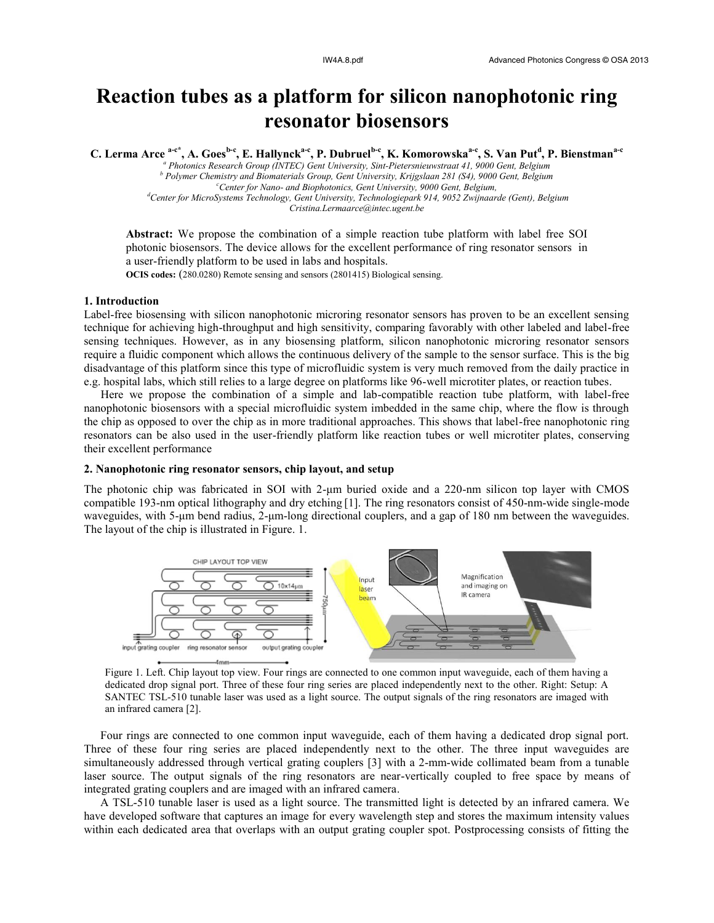# **Reaction tubes as a platform for silicon nanophotonic ring resonator biosensors**

**C. Lerma Arce a-c\*, A. Goesb-c , E. Hallyncka-c , P. Dubruelb-c , K. Komorowskaa-c , S. Van Put<sup>d</sup> , P. Bienstmana-c** 

*<sup>a</sup> Photonics Research Group (INTEC) Gent University, Sint-Pietersnieuwstraat 41, 9000 Gent, Belgium <sup>b</sup> Polymer Chemistry and Biomaterials Group, Gent University, Krijgslaan 281 (S4), 9000 Gent, Belgium <sup>c</sup>Center for Nano- and Biophotonics, Gent University, 9000 Gent, Belgium, <sup>d</sup>Center for MicroSystems Technology, Gent University, Technologiepark 914, 9052 Zwijnaarde (Gent), Belgium Cristina.Lermaarce@intec.ugent.be*

**Abstract:** We propose the combination of a simple reaction tube platform with label free SOI photonic biosensors. The device allows for the excellent performance of ring resonator sensors in a user-friendly platform to be used in labs and hospitals. **OCIS codes:** (280.0280) Remote sensing and sensors (2801415) Biological sensing.

**1. Introduction**

Label-free biosensing with silicon nanophotonic microring resonator sensors has proven to be an excellent sensing technique for achieving high-throughput and high sensitivity, comparing favorably with other labeled and label-free sensing techniques. However, as in any biosensing platform, silicon nanophotonic microring resonator sensors require a fluidic component which allows the continuous delivery of the sample to the sensor surface. This is the big disadvantage of this platform since this type of microfluidic system is very much removed from the daily practice in e.g. hospital labs, which still relies to a large degree on platforms like 96-well microtiter plates, or reaction tubes.

Here we propose the combination of a simple and lab-compatible reaction tube platform, with label-free nanophotonic biosensors with a special microfluidic system imbedded in the same chip, where the flow is through the chip as opposed to over the chip as in more traditional approaches. This shows that label-free nanophotonic ring resonators can be also used in the user-friendly platform like reaction tubes or well microtiter plates, conserving their excellent performance

## **2. Nanophotonic ring resonator sensors, chip layout, and setup**

The photonic chip was fabricated in SOI with 2-μm buried oxide and a 220-nm silicon top layer with CMOS compatible 193-nm optical lithography and dry etching [1]. The ring resonators consist of 450-nm-wide single-mode waveguides, with 5-μm bend radius, 2-μm-long directional couplers, and a gap of 180 nm between the waveguides. The layout of the chip is illustrated in Figure. 1.



Figure 1. Left. Chip layout top view. Four rings are connected to one common input waveguide, each of them having a dedicated drop signal port. Three of these four ring series are placed independently next to the other. Right: Setup: A SANTEC TSL-510 tunable laser was used as a light source. The output signals of the ring resonators are imaged with an infrared camera [2].

Four rings are connected to one common input waveguide, each of them having a dedicated drop signal port. Three of these four ring series are placed independently next to the other. The three input waveguides are simultaneously addressed through vertical grating couplers [3] with a 2-mm-wide collimated beam from a tunable laser source. The output signals of the ring resonators are near-vertically coupled to free space by means of integrated grating couplers and are imaged with an infrared camera.

A TSL-510 tunable laser is used as a light source. The transmitted light is detected by an infrared camera. We have developed software that captures an image for every wavelength step and stores the maximum intensity values within each dedicated area that overlaps with an output grating coupler spot. Postprocessing consists of fitting the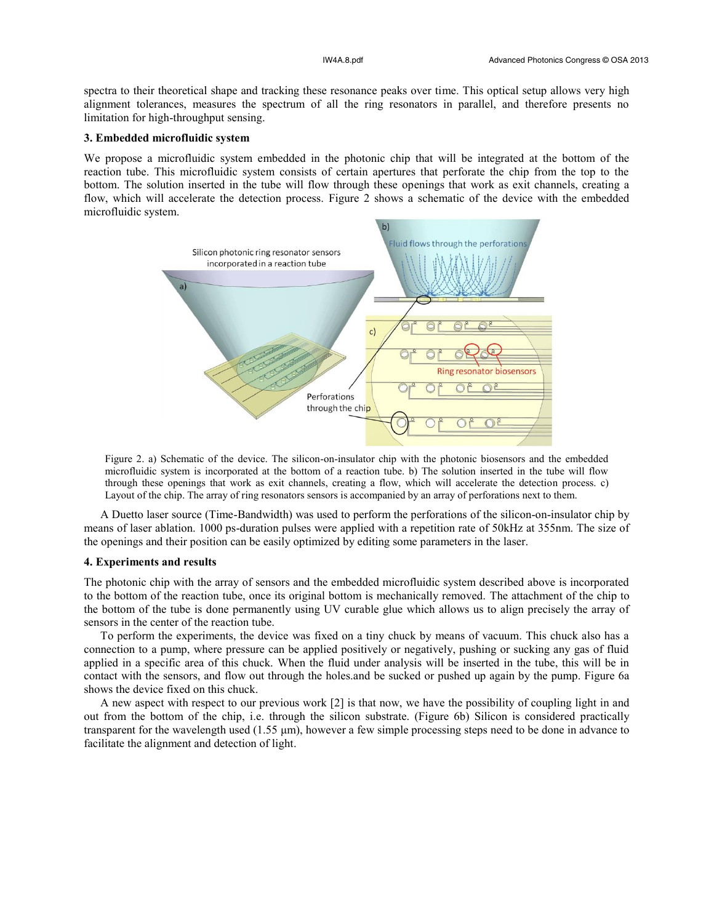spectra to their theoretical shape and tracking these resonance peaks over time. This optical setup allows very high alignment tolerances, measures the spectrum of all the ring resonators in parallel, and therefore presents no limitation for high-throughput sensing.

# **3. Embedded microfluidic system**

We propose a microfluidic system embedded in the photonic chip that will be integrated at the bottom of the reaction tube. This microfluidic system consists of certain apertures that perforate the chip from the top to the bottom. The solution inserted in the tube will flow through these openings that work as exit channels, creating a flow, which will accelerate the detection process. Figure 2 shows a schematic of the device with the embedded microfluidic system.



Figure 2. a) Schematic of the device. The silicon-on-insulator chip with the photonic biosensors and the embedded microfluidic system is incorporated at the bottom of a reaction tube. b) The solution inserted in the tube will flow through these openings that work as exit channels, creating a flow, which will accelerate the detection process. c) Layout of the chip. The array of ring resonators sensors is accompanied by an array of perforations next to them.

A Duetto laser source (Time-Bandwidth) was used to perform the perforations of the silicon-on-insulator chip by means of laser ablation. 1000 ps-duration pulses were applied with a repetition rate of 50kHz at 355nm. The size of the openings and their position can be easily optimized by editing some parameters in the laser.

#### **4. Experiments and results**

The photonic chip with the array of sensors and the embedded microfluidic system described above is incorporated to the bottom of the reaction tube, once its original bottom is mechanically removed. The attachment of the chip to the bottom of the tube is done permanently using UV curable glue which allows us to align precisely the array of sensors in the center of the reaction tube.

To perform the experiments, the device was fixed on a tiny chuck by means of vacuum. This chuck also has a connection to a pump, where pressure can be applied positively or negatively, pushing or sucking any gas of fluid applied in a specific area of this chuck. When the fluid under analysis will be inserted in the tube, this will be in contact with the sensors, and flow out through the holes.and be sucked or pushed up again by the pump. Figure 6a shows the device fixed on this chuck.

A new aspect with respect to our previous work [2] is that now, we have the possibility of coupling light in and out from the bottom of the chip, i.e. through the silicon substrate. (Figure 6b) Silicon is considered practically transparent for the wavelength used (1.55 μm), however a few simple processing steps need to be done in advance to facilitate the alignment and detection of light.